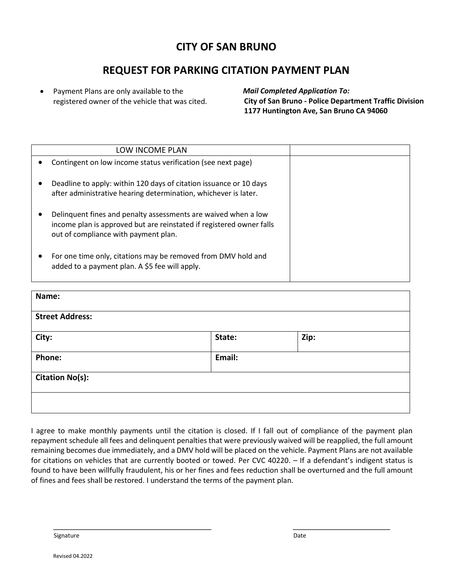## **CITY OF SAN BRUNO**

## **REQUEST FOR PARKING CITATION PAYMENT PLAN**

• Payment Plans are only available to the registered owner of the vehicle that was cited. *Mail Completed Application To:* **City of San Bruno - Police Department Traffic Division 1177 Huntington Ave, San Bruno CA 94060**

| LOW INCOME PLAN                                                                                                                                                                |  |
|--------------------------------------------------------------------------------------------------------------------------------------------------------------------------------|--|
| Contingent on low income status verification (see next page)                                                                                                                   |  |
| Deadline to apply: within 120 days of citation issuance or 10 days<br>after administrative hearing determination, whichever is later.                                          |  |
| Delinquent fines and penalty assessments are waived when a low<br>income plan is approved but are reinstated if registered owner falls<br>out of compliance with payment plan. |  |
| For one time only, citations may be removed from DMV hold and<br>added to a payment plan. A \$5 fee will apply.                                                                |  |

| Name:                  |        |      |
|------------------------|--------|------|
| <b>Street Address:</b> |        |      |
| City:                  | State: | Zip: |
| Phone:                 | Email: |      |
| <b>Citation No(s):</b> |        |      |
|                        |        |      |

I agree to make monthly payments until the citation is closed. If I fall out of compliance of the payment plan repayment schedule all fees and delinquent penalties that were previously waived will be reapplied, the full amount remaining becomes due immediately, and a DMV hold will be placed on the vehicle. Payment Plans are not available for citations on vehicles that are currently booted or towed. Per CVC 40220. – If a defendant's indigent status is found to have been willfully fraudulent, his or her fines and fees reduction shall be overturned and the full amount of fines and fees shall be restored. I understand the terms of the payment plan.

Signature **Date of the Contract of the Contract of the Contract of the Contract of the Contract of the Contract of the Contract of the Contract of the Contract of the Contract of the Contract of the Contract of the Contrac**